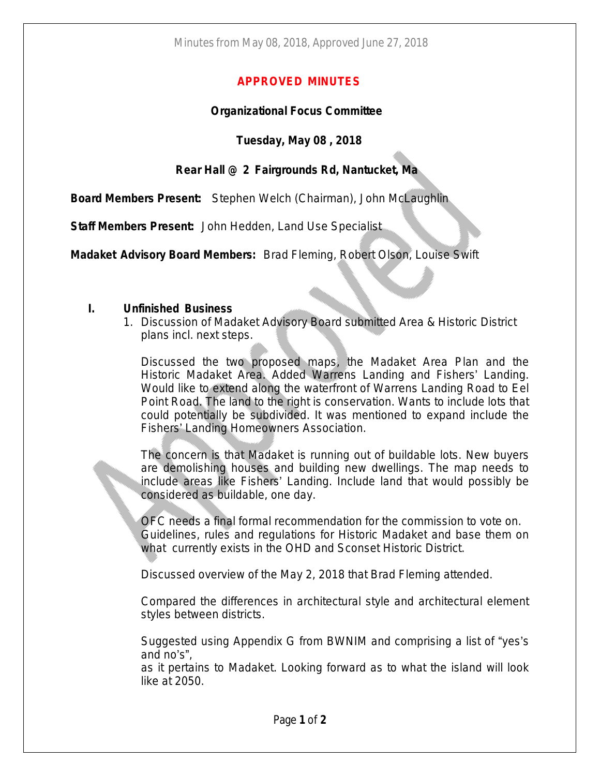### **APPROVED MINUTES**

#### **Organizational Focus Committee**

# **Tuesday, May 08 , 2018**

# **Rear Hall @ 2 Fairgrounds Rd, Nantucket, Ma**

**Board Members Present:** Stephen Welch (Chairman), John McLaughlin

**Staff Members Present:** John Hedden, Land Use Specialist

**Madaket Advisory Board Members:** Brad Fleming, Robert Olson, Louise Swift

#### **I. Unfinished Business**

1. Discussion of Madaket Advisory Board submitted Area & Historic District plans incl. next steps.

Discussed the two proposed maps, the Madaket Area Plan and the Historic Madaket Area. Added Warrens Landing and Fishers' Landing. Would like to extend along the waterfront of Warrens Landing Road to Eel Point Road. The land to the right is conservation. Wants to include lots that could potentially be subdivided. It was mentioned to expand include the Fishers' Landing Homeowners Association.

The concern is that Madaket is running out of buildable lots. New buyers are demolishing houses and building new dwellings. The map needs to include areas like Fishers' Landing. Include land that would possibly be considered as buildable, one day.

OFC needs a final formal recommendation for the commission to vote on. Guidelines, rules and regulations for Historic Madaket and base them on what currently exists in the OHD and Sconset Historic District.

Discussed overview of the May 2, 2018 that Brad Fleming attended.

Compared the differences in architectural style and architectural element styles between districts.

Suggested using Appendix G from BWNIM and comprising a list of "yes's and no's",

as it pertains to Madaket. Looking forward as to what the island will look like at 2050.